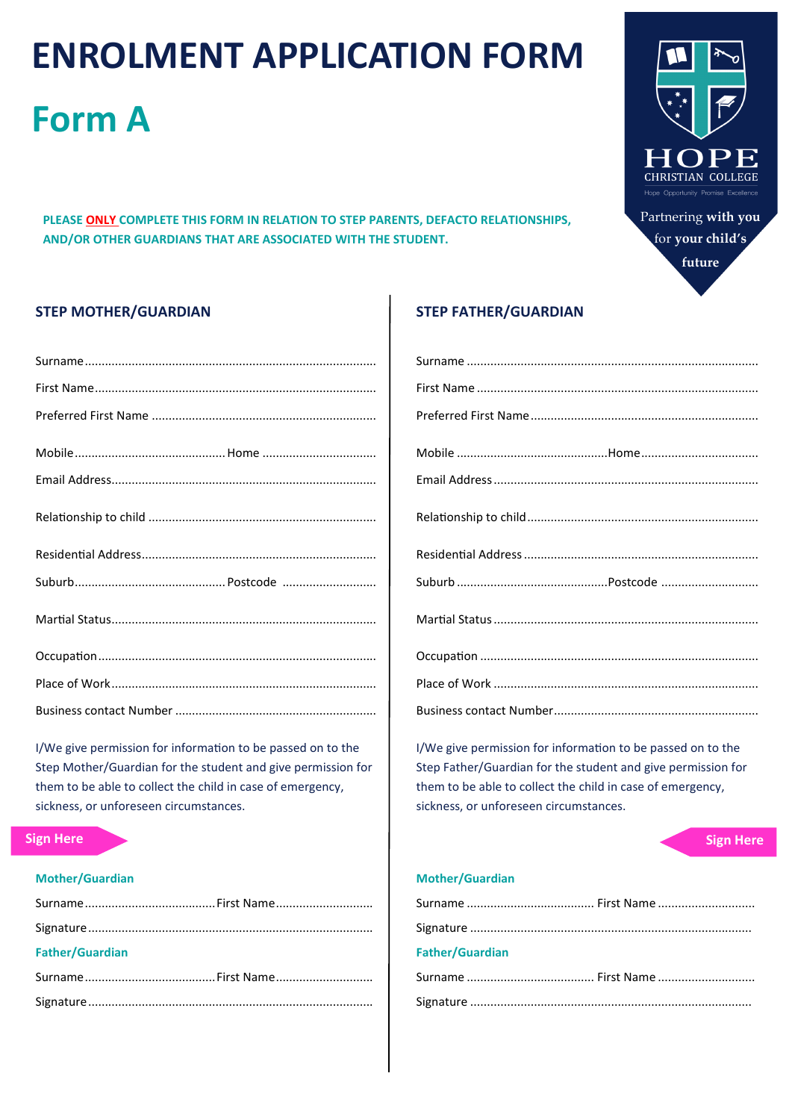# **ENROLMENT APPLICATION FORM**

# **Form A**

**PLEASE ONLY COMPLETE THIS FORM IN RELATION TO STEP PARENTS, DEFACTO RELATIONSHIPS, AND/OR OTHER GUARDIANS THAT ARE ASSOCIATED WITH THE STUDENT.**



Partnering **with you**  for **your child's future**

# **STEP MOTHER/GUARDIAN**

I/We give permission for information to be passed on to the Step Mother/Guardian for the student and give permission for them to be able to collect the child in case of emergency, sickness, or unforeseen circumstances.

#### **Mother/Guardian**

| <b>Father/Guardian</b> |  |
|------------------------|--|
|                        |  |
|                        |  |

#### **STEP FATHER/GUARDIAN**

I/We give permission for information to be passed on to the Step Father/Guardian for the student and give permission for them to be able to collect the child in case of emergency, sickness, or unforeseen circumstances.

# **Sign Here Sign Here Sign Here Sign Here**

#### **Mother/Guardian**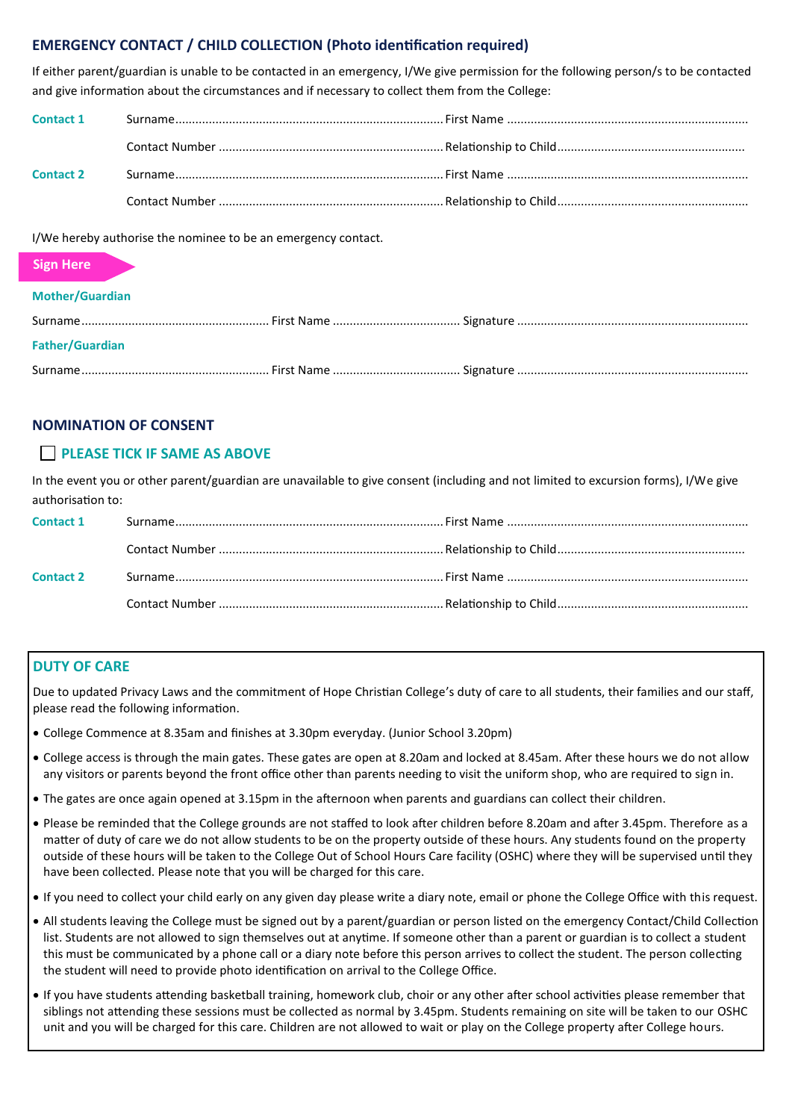# **EMERGENCY CONTACT / CHILD COLLECTION (Photo identification required)**

If either parent/guardian is unable to be contacted in an emergency, I/We give permission for the following person/s to be contacted and give information about the circumstances and if necessary to collect them from the College:

| <b>Contact 1</b> |  |
|------------------|--|
|                  |  |
| <b>Contact 2</b> |  |
|                  |  |

I/We hereby authorise the nominee to be an emergency contact.

#### **Sign Here**

#### **Mother/Guardian**

| <b>Father/Guardian</b> |  |
|------------------------|--|
|                        |  |

#### **NOMINATION OF CONSENT**

### **PLEASE TICK IF SAME AS ABOVE**

In the event you or other parent/guardian are unavailable to give consent (including and not limited to excursion forms), I/We give authorisation to:

| <b>Contact 1</b> |  |
|------------------|--|
|                  |  |
|                  |  |
| <b>Contact 2</b> |  |
|                  |  |
|                  |  |

### **DUTY OF CARE**

Due to updated Privacy Laws and the commitment of Hope Christian College's duty of care to all students, their families and our staff, please read the following information.

- College Commence at 8.35am and finishes at 3.30pm everyday. (Junior School 3.20pm)
- College access is through the main gates. These gates are open at 8.20am and locked at 8.45am. After these hours we do not allow any visitors or parents beyond the front office other than parents needing to visit the uniform shop, who are required to sign in.
- The gates are once again opened at 3.15pm in the afternoon when parents and guardians can collect their children.
- Please be reminded that the College grounds are not staffed to look after children before 8.20am and after 3.45pm. Therefore as a matter of duty of care we do not allow students to be on the property outside of these hours. Any students found on the property outside of these hours will be taken to the College Out of School Hours Care facility (OSHC) where they will be supervised until they have been collected. Please note that you will be charged for this care.
- If you need to collect your child early on any given day please write a diary note, email or phone the College Office with this request.
- All students leaving the College must be signed out by a parent/guardian or person listed on the emergency Contact/Child Collection list. Students are not allowed to sign themselves out at anytime. If someone other than a parent or guardian is to collect a student this must be communicated by a phone call or a diary note before this person arrives to collect the student. The person collecting the student will need to provide photo identification on arrival to the College Office.
- If you have students attending basketball training, homework club, choir or any other after school activities please remember that siblings not attending these sessions must be collected as normal by 3.45pm. Students remaining on site will be taken to our OSHC unit and you will be charged for this care. Children are not allowed to wait or play on the College property after College hours.